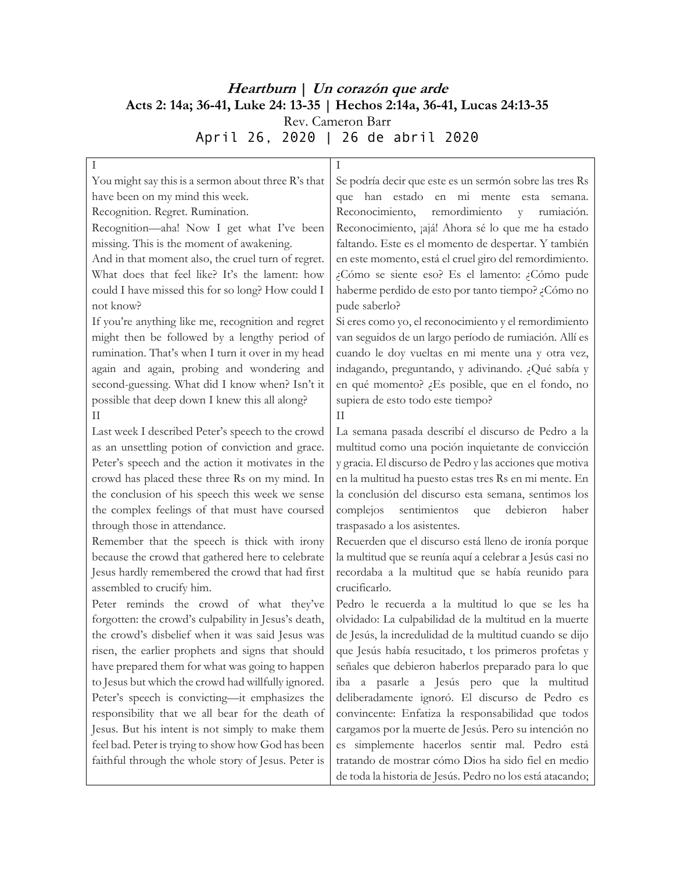## **Heartburn | Un corazón que arde Acts 2: 14a; 36-41, Luke 24: 13-35 | Hechos 2:14a, 36-41, Lucas 24:13-35** Rev. Cameron Barr April 26, 2020 | 26 de abril 2020

| You might say this is a sermon about three R's that  | Se podría decir que este es un sermón sobre las tres Rs   |
|------------------------------------------------------|-----------------------------------------------------------|
| have been on my mind this week.                      | que han estado en mi mente esta<br>semana.                |
| Recognition. Regret. Rumination.                     | Reconocimiento,<br>remordimiento<br>rumiación.<br>y.      |
| Recognition-aha! Now I get what I've been            | Reconocimiento, ¡ajá! Ahora sé lo que me ha estado        |
| missing. This is the moment of awakening.            | faltando. Este es el momento de despertar. Y también      |
| And in that moment also, the cruel turn of regret.   | en este momento, está el cruel giro del remordimiento.    |
| What does that feel like? It's the lament: how       | ¿Cómo se siente eso? Es el lamento: ¿Cómo pude            |
| could I have missed this for so long? How could I    | haberme perdido de esto por tanto tiempo? ¿Cómo no        |
| not know?                                            | pude saberlo?                                             |
| If you're anything like me, recognition and regret   | Si eres como yo, el reconocimiento y el remordimiento     |
| might then be followed by a lengthy period of        | van seguidos de un largo período de rumiación. Allí es    |
| rumination. That's when I turn it over in my head    | cuando le doy vueltas en mi mente una y otra vez,         |
| again and again, probing and wondering and           | indagando, preguntando, y adivinando. ¿Qué sabía y        |
| second-guessing. What did I know when? Isn't it      | en qué momento? ¿Es posible, que en el fondo, no          |
| possible that deep down I knew this all along?       | supiera de esto todo este tiempo?                         |
| Н                                                    | Н                                                         |
| Last week I described Peter's speech to the crowd    | La semana pasada describí el discurso de Pedro a la       |
| as an unsettling potion of conviction and grace.     | multitud como una poción inquietante de convicción        |
| Peter's speech and the action it motivates in the    | y gracia. El discurso de Pedro y las acciones que motiva  |
| crowd has placed these three Rs on my mind. In       | en la multitud ha puesto estas tres Rs en mi mente. En    |
| the conclusion of his speech this week we sense      | la conclusión del discurso esta semana, sentimos los      |
| the complex feelings of that must have coursed       | sentimientos<br>debieron<br>complejos<br>haber            |
| through those in attendance.                         | que<br>traspasado a los asistentes.                       |
|                                                      |                                                           |
| Remember that the speech is thick with irony         | Recuerden que el discurso está lleno de ironía porque     |
| because the crowd that gathered here to celebrate    | la multitud que se reunía aquí a celebrar a Jesús casi no |
| Jesus hardly remembered the crowd that had first     | recordaba a la multitud que se había reunido para         |
| assembled to crucify him.                            | crucificarlo.                                             |
| Peter reminds the crowd of what they've              | Pedro le recuerda a la multitud lo que se les ha          |
| forgotten: the crowd's culpability in Jesus's death, | olvidado: La culpabilidad de la multitud en la muerte     |
| the crowd's disbelief when it was said Jesus was     | de Jesús, la incredulidad de la multitud cuando se dijo   |
| risen, the earlier prophets and signs that should    | que Jesús había resucitado, t los primeros profetas y     |
| have prepared them for what was going to happen      | señales que debieron haberlos preparado para lo que       |
| to Jesus but which the crowd had willfully ignored.  | iba a pasarle a Jesús pero que la multitud                |
| Peter's speech is convicting-it emphasizes the       | deliberadamente ignoró. El discurso de Pedro es           |
| responsibility that we all bear for the death of     | convincente: Enfatiza la responsabilidad que todos        |
| Jesus. But his intent is not simply to make them     | cargamos por la muerte de Jesús. Pero su intención no     |
| feel bad. Peter is trying to show how God has been   | es simplemente hacerlos sentir mal. Pedro está            |
| faithful through the whole story of Jesus. Peter is  | tratando de mostrar cómo Dios ha sido fiel en medio       |
|                                                      | de toda la historia de Jesús. Pedro no los está atacando; |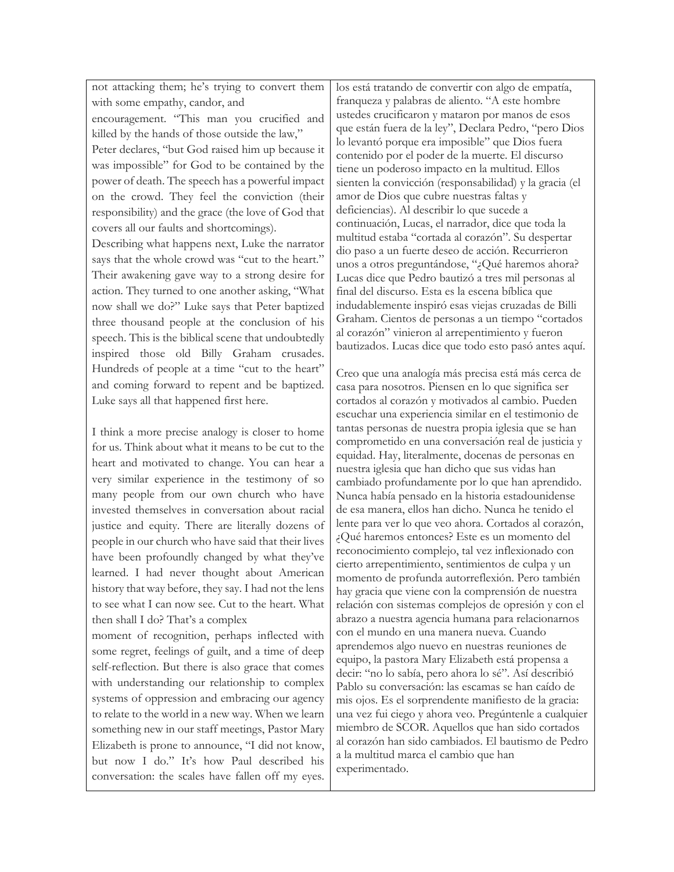not attacking them; he's trying to convert them with some empathy, candor, and encouragement. "This man you crucified and killed by the hands of those outside the law," Peter declares, "but God raised him up because it was impossible" for God to be contained by the power of death. The speech has a powerful impact on the crowd. They feel the conviction (their responsibility) and the grace (the love of God that covers all our faults and shortcomings). Describing what happens next, Luke the narrator says that the whole crowd was "cut to the heart." Their awakening gave way to a strong desire for action. They turned to one another asking, "What now shall we do?" Luke says that Peter baptized three thousand people at the conclusion of his speech. This is the biblical scene that undoubtedly inspired those old Billy Graham crusades. Hundreds of people at a time "cut to the heart" and coming forward to repent and be baptized. Luke says all that happened first here.

I think a more precise analogy is closer to home for us. Think about what it means to be cut to the heart and motivated to change. You can hear a very similar experience in the testimony of so many people from our own church who have invested themselves in conversation about racial justice and equity. There are literally dozens of people in our church who have said that their lives have been profoundly changed by what they've learned. I had never thought about American history that way before, they say. I had not the lens to see what I can now see. Cut to the heart. What then shall I do? That's a complex

moment of recognition, perhaps inflected with some regret, feelings of guilt, and a time of deep self-reflection. But there is also grace that comes with understanding our relationship to complex systems of oppression and embracing our agency to relate to the world in a new way. When we learn something new in our staff meetings, Pastor Mary Elizabeth is prone to announce, "I did not know, but now I do." It's how Paul described his conversation: the scales have fallen off my eyes.

los está tratando de convertir con algo de empatía, franqueza y palabras de aliento. "A este hombre ustedes crucificaron y mataron por manos de esos que están fuera de la ley", Declara Pedro, "pero Dios lo levantó porque era imposible" que Dios fuera contenido por el poder de la muerte. El discurso tiene un poderoso impacto en la multitud. Ellos sienten la convicción (responsabilidad) y la gracia (el amor de Dios que cubre nuestras faltas y deficiencias). Al describir lo que sucede a continuación, Lucas, el narrador, dice que toda la multitud estaba "cortada al corazón". Su despertar dio paso a un fuerte deseo de acción. Recurrieron unos a otros preguntándose, "¿Qué haremos ahora? Lucas dice que Pedro bautizó a tres mil personas al final del discurso. Esta es la escena bíblica que indudablemente inspiró esas viejas cruzadas de Billi Graham. Cientos de personas a un tiempo "cortados al corazón" vinieron al arrepentimiento y fueron bautizados. Lucas dice que todo esto pasó antes aquí.

Creo que una analogía más precisa está más cerca de casa para nosotros. Piensen en lo que significa ser cortados al corazón y motivados al cambio. Pueden escuchar una experiencia similar en el testimonio de tantas personas de nuestra propia iglesia que se han comprometido en una conversación real de justicia y equidad. Hay, literalmente, docenas de personas en nuestra iglesia que han dicho que sus vidas han cambiado profundamente por lo que han aprendido. Nunca había pensado en la historia estadounidense de esa manera, ellos han dicho. Nunca he tenido el lente para ver lo que veo ahora. Cortados al corazón, ¿Qué haremos entonces? Este es un momento del reconocimiento complejo, tal vez inflexionado con cierto arrepentimiento, sentimientos de culpa y un momento de profunda autorreflexión. Pero también hay gracia que viene con la comprensión de nuestra relación con sistemas complejos de opresión y con el abrazo a nuestra agencia humana para relacionarnos con el mundo en una manera nueva. Cuando aprendemos algo nuevo en nuestras reuniones de equipo, la pastora Mary Elizabeth está propensa a decir: "no lo sabía, pero ahora lo sé". Así describió Pablo su conversación: las escamas se han caído de mis ojos. Es el sorprendente manifiesto de la gracia: una vez fui ciego y ahora veo. Pregúntenle a cualquier miembro de SCOR. Aquellos que han sido cortados al corazón han sido cambiados. El bautismo de Pedro a la multitud marca el cambio que han experimentado.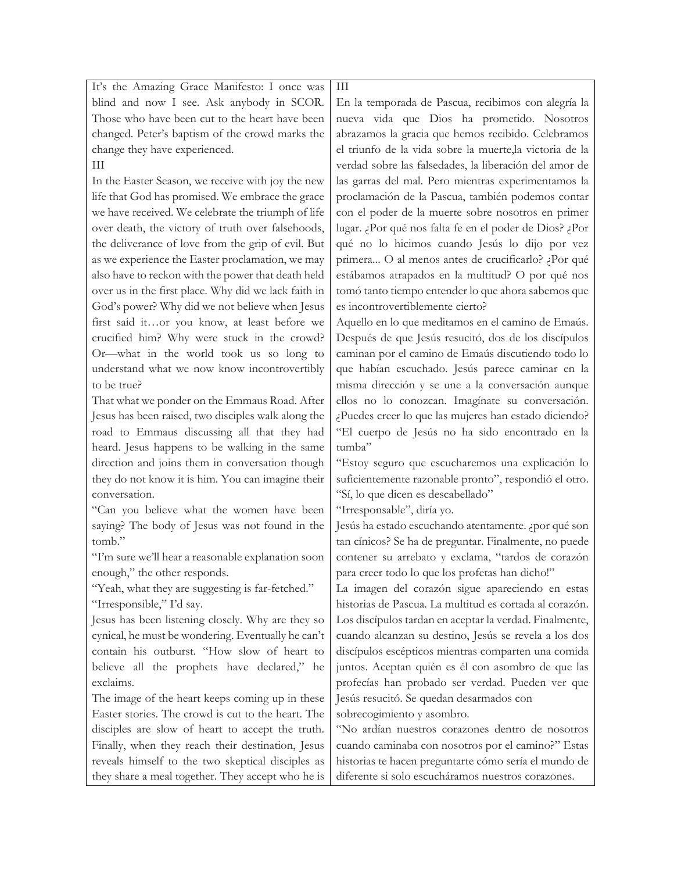| It's the Amazing Grace Manifesto: I once was         | $\rm III$                                                |
|------------------------------------------------------|----------------------------------------------------------|
| blind and now I see. Ask anybody in SCOR.            | En la temporada de Pascua, recibimos con alegría la      |
| Those who have been cut to the heart have been       | nueva vida que Dios ha prometido. Nosotros               |
| changed. Peter's baptism of the crowd marks the      | abrazamos la gracia que hemos recibido. Celebramos       |
| change they have experienced.                        | el triunfo de la vida sobre la muerte, la victoria de la |
| Ш                                                    | verdad sobre las falsedades, la liberación del amor de   |
| In the Easter Season, we receive with joy the new    | las garras del mal. Pero mientras experimentamos la      |
| life that God has promised. We embrace the grace     | proclamación de la Pascua, también podemos contar        |
| we have received. We celebrate the triumph of life   | con el poder de la muerte sobre nosotros en primer       |
| over death, the victory of truth over falsehoods,    | lugar. ¿Por qué nos falta fe en el poder de Dios? ¿Por   |
| the deliverance of love from the grip of evil. But   | qué no lo hicimos cuando Jesús lo dijo por vez           |
| as we experience the Easter proclamation, we may     | primera O al menos antes de crucificarlo? ¿Por qué       |
| also have to reckon with the power that death held   | estábamos atrapados en la multitud? O por qué nos        |
| over us in the first place. Why did we lack faith in | tomó tanto tiempo entender lo que ahora sabemos que      |
| God's power? Why did we not believe when Jesus       | es incontrovertiblemente cierto?                         |
| first said itor you know, at least before we         | Aquello en lo que meditamos en el camino de Emaús.       |
| crucified him? Why were stuck in the crowd?          | Después de que Jesús resucitó, dos de los discípulos     |
| Or-what in the world took us so long to              | caminan por el camino de Emaús discutiendo todo lo       |
| understand what we now know incontrovertibly         | que habían escuchado. Jesús parece caminar en la         |
| to be true?                                          | misma dirección y se une a la conversación aunque        |
| That what we ponder on the Emmaus Road. After        | ellos no lo conozcan. Imagínate su conversación.         |
| Jesus has been raised, two disciples walk along the  | ¿Puedes creer lo que las mujeres han estado diciendo?    |
| road to Emmaus discussing all that they had          | "El cuerpo de Jesús no ha sido encontrado en la          |
| heard. Jesus happens to be walking in the same       | tumba"                                                   |
| direction and joins them in conversation though      | "Estoy seguro que escucharemos una explicación lo        |
| they do not know it is him. You can imagine their    | suficientemente razonable pronto", respondió el otro.    |
| conversation.                                        | "Sí, lo que dicen es descabellado"                       |
| "Can you believe what the women have been            | "Irresponsable", diría yo.                               |
| saying? The body of Jesus was not found in the       | Jesús ha estado escuchando atentamente. ¿por qué son     |
| tomb."                                               | tan cínicos? Se ha de preguntar. Finalmente, no puede    |
| "I'm sure we'll hear a reasonable explanation soon   | contener su arrebato y exclama, "tardos de corazón       |
| enough," the other responds.                         | para creer todo lo que los profetas han dicho!"          |
| "Yeah, what they are suggesting is far-fetched."     | La imagen del corazón sigue apareciendo en estas         |
| "Irresponsible," I'd say.                            | historias de Pascua. La multitud es cortada al corazón.  |
| Jesus has been listening closely. Why are they so    | Los discípulos tardan en aceptar la verdad. Finalmente,  |
| cynical, he must be wondering. Eventually he can't   | cuando alcanzan su destino, Jesús se revela a los dos    |
| contain his outburst. "How slow of heart to          | discípulos escépticos mientras comparten una comida      |
| believe all the prophets have declared," he          | juntos. Aceptan quién es él con asombro de que las       |
| exclaims.                                            | profecías han probado ser verdad. Pueden ver que         |
| The image of the heart keeps coming up in these      | Jesús resucitó. Se quedan desarmados con                 |
| Easter stories. The crowd is cut to the heart. The   | sobrecogimiento y asombro.                               |
| disciples are slow of heart to accept the truth.     | "No ardían nuestros corazones dentro de nosotros         |
| Finally, when they reach their destination, Jesus    | cuando caminaba con nosotros por el camino?" Estas       |
| reveals himself to the two skeptical disciples as    | historias te hacen preguntarte cómo sería el mundo de    |
| they share a meal together. They accept who he is    | diferente si solo escucháramos nuestros corazones.       |